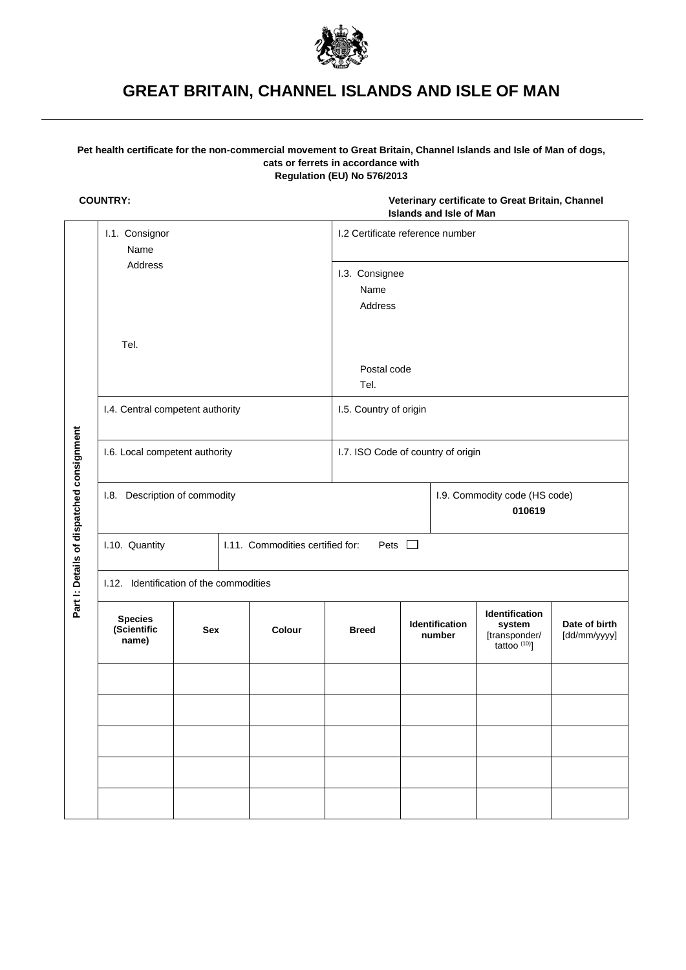

# **GREAT BRITAIN, CHANNEL ISLANDS AND ISLE OF MAN**

# **Pet health certificate for the non-commercial movement to Great Britain, Channel Islands and Isle of Man of dogs, cats or ferrets in accordance with Regulation (EU) No 576/2013**

**COUNTRY: Veterinary certificate to Great Britain, Channel Islands and Isle of Man**

|                                           | I.1. Consignor<br>Name<br>Address<br>Tel.            |  |  |                                                 | I.2 Certificate reference number   |                                         |  |                                                                       |                               |  |
|-------------------------------------------|------------------------------------------------------|--|--|-------------------------------------------------|------------------------------------|-----------------------------------------|--|-----------------------------------------------------------------------|-------------------------------|--|
|                                           |                                                      |  |  |                                                 | I.3. Consignee<br>Name<br>Address  |                                         |  |                                                                       |                               |  |
|                                           |                                                      |  |  |                                                 | Postal code<br>Tel.                |                                         |  |                                                                       |                               |  |
|                                           | I.4. Central competent authority                     |  |  |                                                 | I.5. Country of origin             |                                         |  |                                                                       |                               |  |
|                                           | I.6. Local competent authority                       |  |  |                                                 | I.7. ISO Code of country of origin |                                         |  |                                                                       |                               |  |
| Part I: Details of dispatched consignment | I.8. Description of commodity                        |  |  |                                                 |                                    | I.9. Commodity code (HS code)<br>010619 |  |                                                                       |                               |  |
|                                           | I.10. Quantity                                       |  |  | Pets $\Box$<br>I.11. Commodities certified for: |                                    |                                         |  |                                                                       |                               |  |
|                                           | I.12. Identification of the commodities              |  |  |                                                 |                                    |                                         |  |                                                                       |                               |  |
|                                           | <b>Species</b><br>(Scientific<br><b>Sex</b><br>name) |  |  | Colour                                          | <b>Breed</b>                       | Identification<br>number                |  | Identification<br>system<br>[transponder/<br>tattoo <sup>(10)</sup> ] | Date of birth<br>[dd/mm/yyyy] |  |
|                                           |                                                      |  |  |                                                 |                                    |                                         |  |                                                                       |                               |  |
|                                           |                                                      |  |  |                                                 |                                    |                                         |  |                                                                       |                               |  |
|                                           |                                                      |  |  |                                                 |                                    |                                         |  |                                                                       |                               |  |
|                                           |                                                      |  |  |                                                 |                                    |                                         |  |                                                                       |                               |  |
|                                           |                                                      |  |  |                                                 |                                    |                                         |  |                                                                       |                               |  |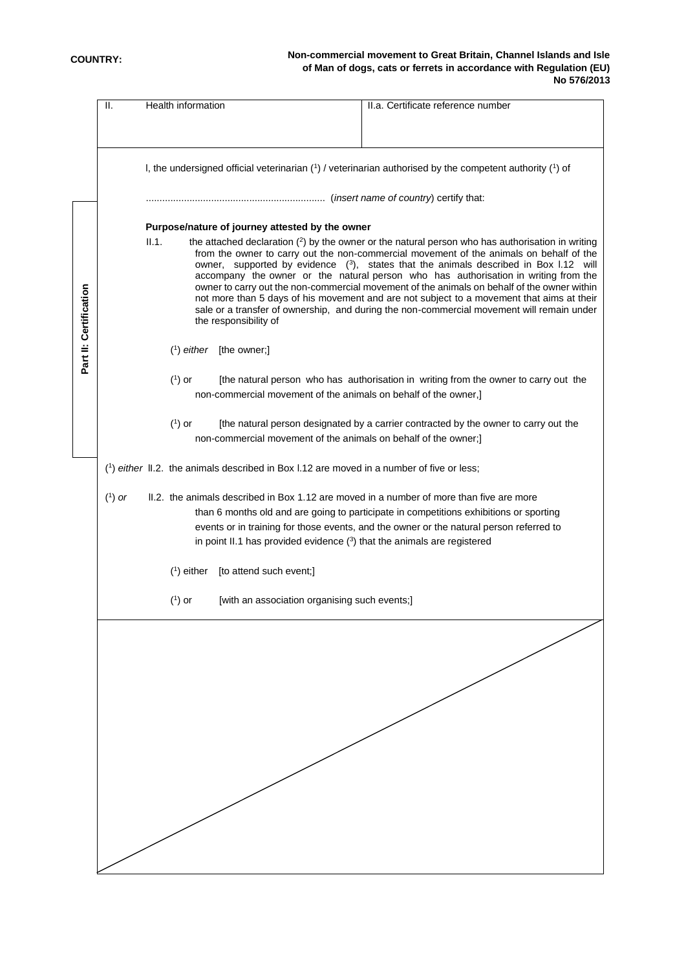|                        | Ш.                                                                                                                                                                  | Health information<br>II.a. Certificate reference number                                                                                                                                                                                                                                                                                                                                                                                                                                                                                                                                                                                                                                                   |  |  |  |  |  |  |  |
|------------------------|---------------------------------------------------------------------------------------------------------------------------------------------------------------------|------------------------------------------------------------------------------------------------------------------------------------------------------------------------------------------------------------------------------------------------------------------------------------------------------------------------------------------------------------------------------------------------------------------------------------------------------------------------------------------------------------------------------------------------------------------------------------------------------------------------------------------------------------------------------------------------------------|--|--|--|--|--|--|--|
|                        |                                                                                                                                                                     |                                                                                                                                                                                                                                                                                                                                                                                                                                                                                                                                                                                                                                                                                                            |  |  |  |  |  |  |  |
|                        |                                                                                                                                                                     |                                                                                                                                                                                                                                                                                                                                                                                                                                                                                                                                                                                                                                                                                                            |  |  |  |  |  |  |  |
|                        |                                                                                                                                                                     | I, the undersigned official veterinarian (1) / veterinarian authorised by the competent authority (1) of                                                                                                                                                                                                                                                                                                                                                                                                                                                                                                                                                                                                   |  |  |  |  |  |  |  |
|                        |                                                                                                                                                                     |                                                                                                                                                                                                                                                                                                                                                                                                                                                                                                                                                                                                                                                                                                            |  |  |  |  |  |  |  |
|                        | Purpose/nature of journey attested by the owner                                                                                                                     |                                                                                                                                                                                                                                                                                                                                                                                                                                                                                                                                                                                                                                                                                                            |  |  |  |  |  |  |  |
| Part II: Certification |                                                                                                                                                                     | II.1.<br>the attached declaration $(2)$ by the owner or the natural person who has authorisation in writing<br>from the owner to carry out the non-commercial movement of the animals on behalf of the<br>owner, supported by evidence $(3)$ , states that the animals described in Box 1.12 will<br>accompany the owner or the natural person who has authorisation in writing from the<br>owner to carry out the non-commercial movement of the animals on behalf of the owner within<br>not more than 5 days of his movement and are not subject to a movement that aims at their<br>sale or a transfer of ownership, and during the non-commercial movement will remain under<br>the responsibility of |  |  |  |  |  |  |  |
|                        |                                                                                                                                                                     | $(1)$ either [the owner;]                                                                                                                                                                                                                                                                                                                                                                                                                                                                                                                                                                                                                                                                                  |  |  |  |  |  |  |  |
|                        | $(1)$ or<br>[the natural person who has authorisation in writing from the owner to carry out the<br>non-commercial movement of the animals on behalf of the owner,] |                                                                                                                                                                                                                                                                                                                                                                                                                                                                                                                                                                                                                                                                                                            |  |  |  |  |  |  |  |
|                        |                                                                                                                                                                     | $(1)$ or<br>[the natural person designated by a carrier contracted by the owner to carry out the<br>non-commercial movement of the animals on behalf of the owner;                                                                                                                                                                                                                                                                                                                                                                                                                                                                                                                                         |  |  |  |  |  |  |  |
|                        |                                                                                                                                                                     | $(1)$ either II.2. the animals described in Box I.12 are moved in a number of five or less;                                                                                                                                                                                                                                                                                                                                                                                                                                                                                                                                                                                                                |  |  |  |  |  |  |  |
|                        | $(1)$ or                                                                                                                                                            | II.2. the animals described in Box 1.12 are moved in a number of more than five are more<br>than 6 months old and are going to participate in competitions exhibitions or sporting<br>events or in training for those events, and the owner or the natural person referred to<br>in point II.1 has provided evidence $(3)$ that the animals are registered                                                                                                                                                                                                                                                                                                                                                 |  |  |  |  |  |  |  |
|                        |                                                                                                                                                                     | $(1)$ either [to attend such event;]                                                                                                                                                                                                                                                                                                                                                                                                                                                                                                                                                                                                                                                                       |  |  |  |  |  |  |  |
|                        |                                                                                                                                                                     | $(1)$ or<br>[with an association organising such events;]                                                                                                                                                                                                                                                                                                                                                                                                                                                                                                                                                                                                                                                  |  |  |  |  |  |  |  |
|                        |                                                                                                                                                                     |                                                                                                                                                                                                                                                                                                                                                                                                                                                                                                                                                                                                                                                                                                            |  |  |  |  |  |  |  |
|                        |                                                                                                                                                                     |                                                                                                                                                                                                                                                                                                                                                                                                                                                                                                                                                                                                                                                                                                            |  |  |  |  |  |  |  |
|                        |                                                                                                                                                                     |                                                                                                                                                                                                                                                                                                                                                                                                                                                                                                                                                                                                                                                                                                            |  |  |  |  |  |  |  |
|                        |                                                                                                                                                                     |                                                                                                                                                                                                                                                                                                                                                                                                                                                                                                                                                                                                                                                                                                            |  |  |  |  |  |  |  |
|                        |                                                                                                                                                                     |                                                                                                                                                                                                                                                                                                                                                                                                                                                                                                                                                                                                                                                                                                            |  |  |  |  |  |  |  |
|                        |                                                                                                                                                                     |                                                                                                                                                                                                                                                                                                                                                                                                                                                                                                                                                                                                                                                                                                            |  |  |  |  |  |  |  |
|                        |                                                                                                                                                                     |                                                                                                                                                                                                                                                                                                                                                                                                                                                                                                                                                                                                                                                                                                            |  |  |  |  |  |  |  |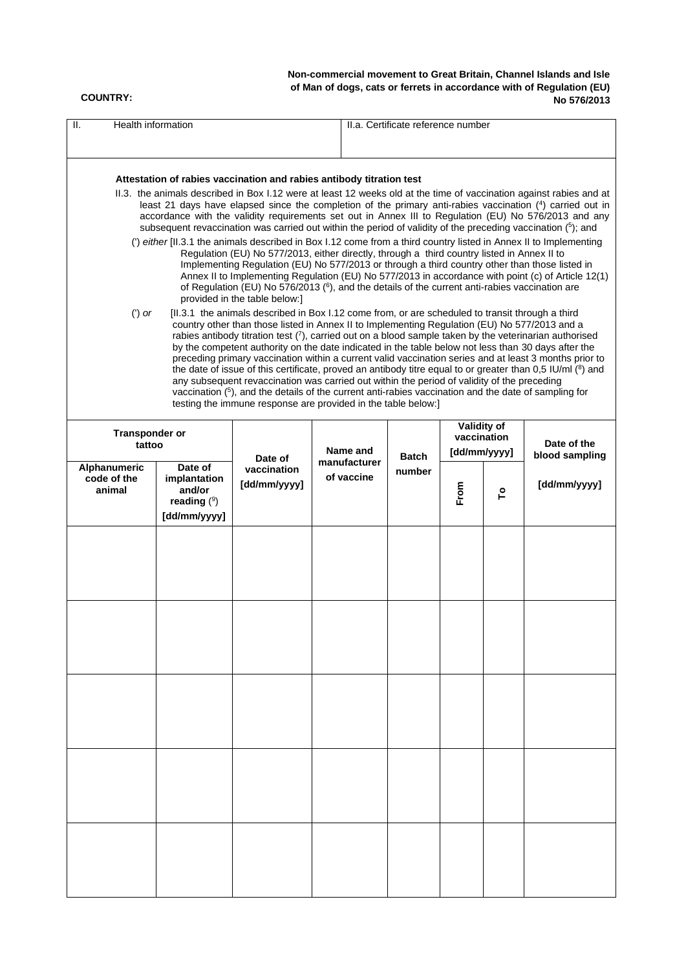#### **COUNTRY:**

**Non-commercial movement to Great Britain, Channel Islands and Isle of Man of dogs, cats or ferrets in accordance with of Regulation (EU) No 576/2013**

| Health information<br>H.                                                                                                       |              |                                                                                                                                                                                                                                                                                                                                                                                                                                                                                                                                                                                                                                                                                                                                                                                                                                                                                                                                                                                                                                                                                                                                                                                                                                                                                                                                                                                                                                                                                                                                                                                                                                                                                                                                                                                                                                                                                                                                                                                                                                    |                                        | II.a. Certificate reference number |                                                    |   |                                               |
|--------------------------------------------------------------------------------------------------------------------------------|--------------|------------------------------------------------------------------------------------------------------------------------------------------------------------------------------------------------------------------------------------------------------------------------------------------------------------------------------------------------------------------------------------------------------------------------------------------------------------------------------------------------------------------------------------------------------------------------------------------------------------------------------------------------------------------------------------------------------------------------------------------------------------------------------------------------------------------------------------------------------------------------------------------------------------------------------------------------------------------------------------------------------------------------------------------------------------------------------------------------------------------------------------------------------------------------------------------------------------------------------------------------------------------------------------------------------------------------------------------------------------------------------------------------------------------------------------------------------------------------------------------------------------------------------------------------------------------------------------------------------------------------------------------------------------------------------------------------------------------------------------------------------------------------------------------------------------------------------------------------------------------------------------------------------------------------------------------------------------------------------------------------------------------------------------|----------------------------------------|------------------------------------|----------------------------------------------------|---|-----------------------------------------------|
| $(')$ or                                                                                                                       |              | Attestation of rabies vaccination and rabies antibody titration test<br>II.3. the animals described in Box I.12 were at least 12 weeks old at the time of vaccination against rabies and at<br>least 21 days have elapsed since the completion of the primary anti-rabies vaccination (4) carried out in<br>accordance with the validity requirements set out in Annex III to Regulation (EU) No 576/2013 and any<br>subsequent revaccination was carried out within the period of validity of the preceding vaccination $(5)$ ; and<br>(') either [II.3.1 the animals described in Box I.12 come from a third country listed in Annex II to Implementing<br>Regulation (EU) No 577/2013, either directly, through a third country listed in Annex II to<br>Implementing Regulation (EU) No 577/2013 or through a third country other than those listed in<br>Annex II to Implementing Regulation (EU) No 577/2013 in accordance with point (c) of Article 12(1)<br>of Regulation (EU) No 576/2013 (6), and the details of the current anti-rabies vaccination are<br>provided in the table below:]<br>[II.3.1 the animals described in Box I.12 come from, or are scheduled to transit through a third<br>country other than those listed in Annex II to Implementing Regulation (EU) No 577/2013 and a<br>rabies antibody titration test $(7)$ , carried out on a blood sample taken by the veterinarian authorised<br>by the competent authority on the date indicated in the table below not less than 30 days after the<br>preceding primary vaccination within a current valid vaccination series and at least 3 months prior to<br>the date of issue of this certificate, proved an antibody titre equal to or greater than 0,5 IU/ml $(^8)$ and<br>any subsequent revaccination was carried out within the period of validity of the preceding<br>vaccination $(5)$ , and the details of the current anti-rabies vaccination and the date of sampling for<br>testing the immune response are provided in the table below:] |                                        |                                    |                                                    |   |                                               |
| <b>Transponder or</b><br>tattoo<br>Alphanumeric<br>Date of<br>code of the<br>implantation<br>animal<br>and/or<br>reading $(9)$ |              | Date of<br>vaccination<br>[dd/mm/yyyy]                                                                                                                                                                                                                                                                                                                                                                                                                                                                                                                                                                                                                                                                                                                                                                                                                                                                                                                                                                                                                                                                                                                                                                                                                                                                                                                                                                                                                                                                                                                                                                                                                                                                                                                                                                                                                                                                                                                                                                                             | Name and<br>manufacturer<br>of vaccine | <b>Batch</b><br>number             | Validity of<br>vaccination<br>[dd/mm/yyyy]<br>From | ٩ | Date of the<br>blood sampling<br>[dd/mm/yyyy] |
|                                                                                                                                | [dd/mm/yyyy] |                                                                                                                                                                                                                                                                                                                                                                                                                                                                                                                                                                                                                                                                                                                                                                                                                                                                                                                                                                                                                                                                                                                                                                                                                                                                                                                                                                                                                                                                                                                                                                                                                                                                                                                                                                                                                                                                                                                                                                                                                                    |                                        |                                    |                                                    |   |                                               |
|                                                                                                                                |              |                                                                                                                                                                                                                                                                                                                                                                                                                                                                                                                                                                                                                                                                                                                                                                                                                                                                                                                                                                                                                                                                                                                                                                                                                                                                                                                                                                                                                                                                                                                                                                                                                                                                                                                                                                                                                                                                                                                                                                                                                                    |                                        |                                    |                                                    |   |                                               |
|                                                                                                                                |              |                                                                                                                                                                                                                                                                                                                                                                                                                                                                                                                                                                                                                                                                                                                                                                                                                                                                                                                                                                                                                                                                                                                                                                                                                                                                                                                                                                                                                                                                                                                                                                                                                                                                                                                                                                                                                                                                                                                                                                                                                                    |                                        |                                    |                                                    |   |                                               |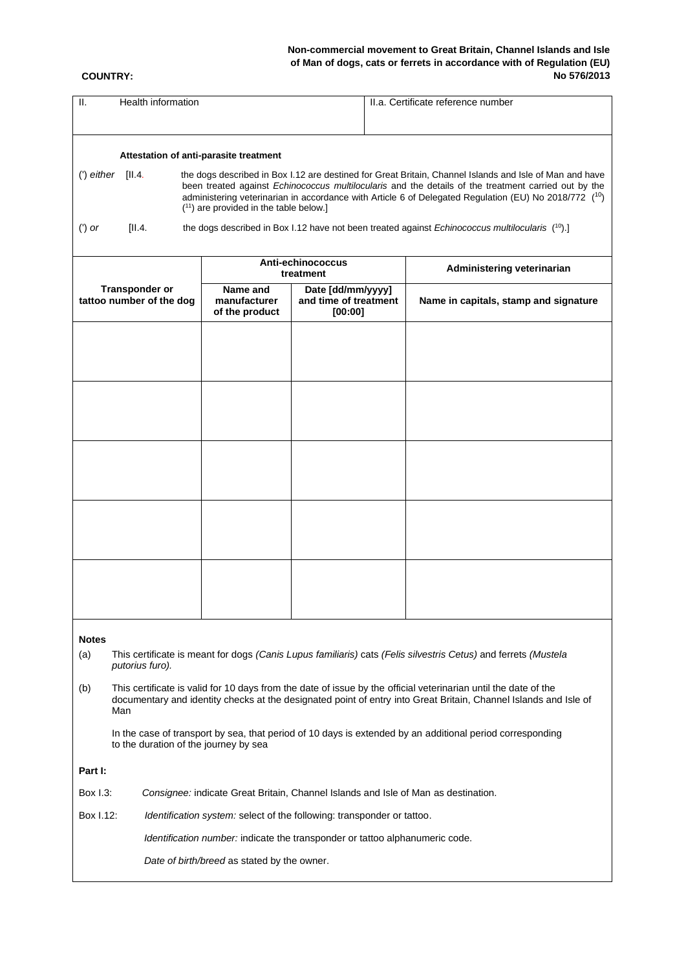# **Non-commercial movement to Great Britain, Channel Islands and Isle of Man of dogs, cats or ferrets in accordance with of Regulation (EU) No 576/2013**

#### **COUNTRY:**

| Ш.<br>Health information                                                                                                                           |                                                                                                                                                                                                                                                                                                                                                                      |                                            | II.a. Certificate reference number |                                                                                                    |  |  |  |
|----------------------------------------------------------------------------------------------------------------------------------------------------|----------------------------------------------------------------------------------------------------------------------------------------------------------------------------------------------------------------------------------------------------------------------------------------------------------------------------------------------------------------------|--------------------------------------------|------------------------------------|----------------------------------------------------------------------------------------------------|--|--|--|
|                                                                                                                                                    |                                                                                                                                                                                                                                                                                                                                                                      |                                            |                                    |                                                                                                    |  |  |  |
|                                                                                                                                                    |                                                                                                                                                                                                                                                                                                                                                                      |                                            |                                    |                                                                                                    |  |  |  |
|                                                                                                                                                    | Attestation of anti-parasite treatment                                                                                                                                                                                                                                                                                                                               |                                            |                                    |                                                                                                    |  |  |  |
| (') either<br>[II.4]                                                                                                                               | the dogs described in Box 1.12 are destined for Great Britain, Channel Islands and Isle of Man and have<br>been treated against Echinococcus multilocularis and the details of the treatment carried out by the<br>administering veterinarian in accordance with Article 6 of Delegated Regulation (EU) No 2018/772 (10)<br>$(11)$ are provided in the table below.] |                                            |                                    |                                                                                                    |  |  |  |
| [II.4]<br>$(')$ or                                                                                                                                 |                                                                                                                                                                                                                                                                                                                                                                      |                                            |                                    | the dogs described in Box 1.12 have not been treated against Echinococcus multilocularis $(10)$ .] |  |  |  |
|                                                                                                                                                    |                                                                                                                                                                                                                                                                                                                                                                      | Anti-echinococcus<br>treatment             |                                    | Administering veterinarian                                                                         |  |  |  |
| <b>Transponder or</b><br>tattoo number of the dog                                                                                                  | Name and                                                                                                                                                                                                                                                                                                                                                             | Date [dd/mm/yyyy]<br>and time of treatment |                                    |                                                                                                    |  |  |  |
|                                                                                                                                                    | manufacturer<br>of the product                                                                                                                                                                                                                                                                                                                                       | [00:00]                                    |                                    | Name in capitals, stamp and signature                                                              |  |  |  |
|                                                                                                                                                    |                                                                                                                                                                                                                                                                                                                                                                      |                                            |                                    |                                                                                                    |  |  |  |
|                                                                                                                                                    |                                                                                                                                                                                                                                                                                                                                                                      |                                            |                                    |                                                                                                    |  |  |  |
|                                                                                                                                                    |                                                                                                                                                                                                                                                                                                                                                                      |                                            |                                    |                                                                                                    |  |  |  |
|                                                                                                                                                    |                                                                                                                                                                                                                                                                                                                                                                      |                                            |                                    |                                                                                                    |  |  |  |
|                                                                                                                                                    |                                                                                                                                                                                                                                                                                                                                                                      |                                            |                                    |                                                                                                    |  |  |  |
|                                                                                                                                                    |                                                                                                                                                                                                                                                                                                                                                                      |                                            |                                    |                                                                                                    |  |  |  |
|                                                                                                                                                    |                                                                                                                                                                                                                                                                                                                                                                      |                                            |                                    |                                                                                                    |  |  |  |
|                                                                                                                                                    |                                                                                                                                                                                                                                                                                                                                                                      |                                            |                                    |                                                                                                    |  |  |  |
| <b>Notes</b>                                                                                                                                       |                                                                                                                                                                                                                                                                                                                                                                      |                                            |                                    |                                                                                                    |  |  |  |
| (a)<br>This certificate is meant for dogs (Canis Lupus familiaris) cats (Felis silvestris Cetus) and ferrets (Mustela<br>putorius furo).           |                                                                                                                                                                                                                                                                                                                                                                      |                                            |                                    |                                                                                                    |  |  |  |
| (b)<br>Man                                                                                                                                         | This certificate is valid for 10 days from the date of issue by the official veterinarian until the date of the<br>documentary and identity checks at the designated point of entry into Great Britain, Channel Islands and Isle of                                                                                                                                  |                                            |                                    |                                                                                                    |  |  |  |
| In the case of transport by sea, that period of 10 days is extended by an additional period corresponding<br>to the duration of the journey by sea |                                                                                                                                                                                                                                                                                                                                                                      |                                            |                                    |                                                                                                    |  |  |  |
| Part I:                                                                                                                                            |                                                                                                                                                                                                                                                                                                                                                                      |                                            |                                    |                                                                                                    |  |  |  |
| Box 1.3:                                                                                                                                           | Consignee: indicate Great Britain, Channel Islands and Isle of Man as destination.                                                                                                                                                                                                                                                                                   |                                            |                                    |                                                                                                    |  |  |  |
| Box I.12:                                                                                                                                          | Identification system: select of the following: transponder or tattoo.                                                                                                                                                                                                                                                                                               |                                            |                                    |                                                                                                    |  |  |  |
|                                                                                                                                                    | Identification number: indicate the transponder or tattoo alphanumeric code.                                                                                                                                                                                                                                                                                         |                                            |                                    |                                                                                                    |  |  |  |
|                                                                                                                                                    | Date of birth/breed as stated by the owner.                                                                                                                                                                                                                                                                                                                          |                                            |                                    |                                                                                                    |  |  |  |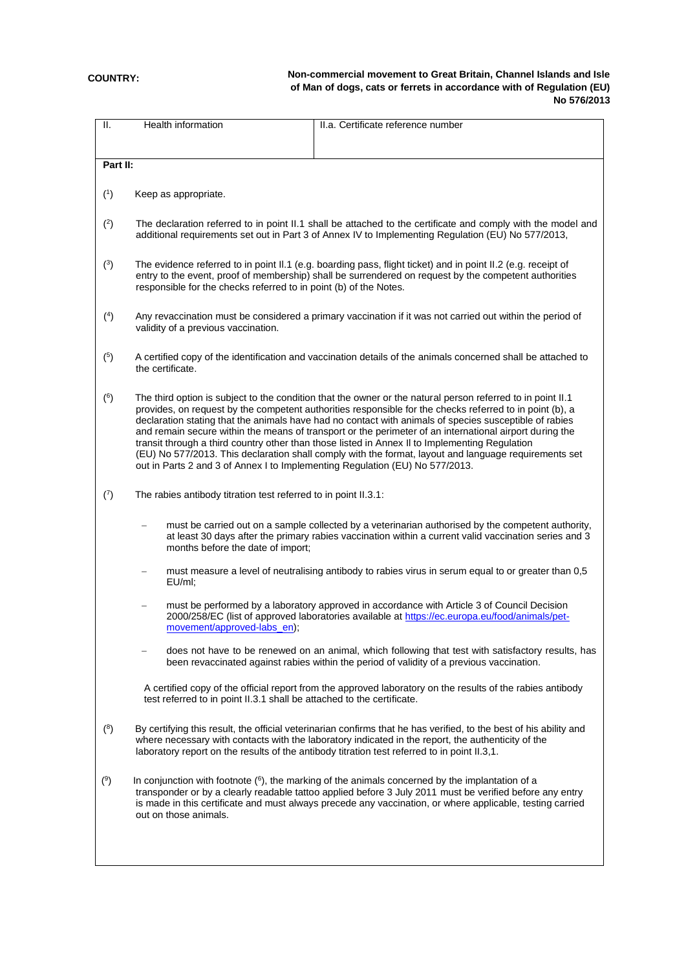# **COUNTRY:**

**Non-commercial movement to Great Britain, Channel Islands and Isle of Man of dogs, cats or ferrets in accordance with of Regulation (EU) No 576/2013**

| Ш.       | Health information                                                                                                                                                                                                                                                                                                                                                                                                                                                                                                                                                                                                                                                                                                                      | II.a. Certificate reference number                                                                                                                                                                                                                                                                                          |  |  |  |  |  |  |
|----------|-----------------------------------------------------------------------------------------------------------------------------------------------------------------------------------------------------------------------------------------------------------------------------------------------------------------------------------------------------------------------------------------------------------------------------------------------------------------------------------------------------------------------------------------------------------------------------------------------------------------------------------------------------------------------------------------------------------------------------------------|-----------------------------------------------------------------------------------------------------------------------------------------------------------------------------------------------------------------------------------------------------------------------------------------------------------------------------|--|--|--|--|--|--|
|          |                                                                                                                                                                                                                                                                                                                                                                                                                                                                                                                                                                                                                                                                                                                                         |                                                                                                                                                                                                                                                                                                                             |  |  |  |  |  |  |
| Part II: |                                                                                                                                                                                                                                                                                                                                                                                                                                                                                                                                                                                                                                                                                                                                         |                                                                                                                                                                                                                                                                                                                             |  |  |  |  |  |  |
|          |                                                                                                                                                                                                                                                                                                                                                                                                                                                                                                                                                                                                                                                                                                                                         |                                                                                                                                                                                                                                                                                                                             |  |  |  |  |  |  |
| (1)      | Keep as appropriate.                                                                                                                                                                                                                                                                                                                                                                                                                                                                                                                                                                                                                                                                                                                    |                                                                                                                                                                                                                                                                                                                             |  |  |  |  |  |  |
| (2)      | The declaration referred to in point II.1 shall be attached to the certificate and comply with the model and<br>additional requirements set out in Part 3 of Annex IV to Implementing Regulation (EU) No 577/2013,                                                                                                                                                                                                                                                                                                                                                                                                                                                                                                                      |                                                                                                                                                                                                                                                                                                                             |  |  |  |  |  |  |
| (3)      | The evidence referred to in point II.1 (e.g. boarding pass, flight ticket) and in point II.2 (e.g. receipt of<br>entry to the event, proof of membership) shall be surrendered on request by the competent authorities<br>responsible for the checks referred to in point (b) of the Notes.                                                                                                                                                                                                                                                                                                                                                                                                                                             |                                                                                                                                                                                                                                                                                                                             |  |  |  |  |  |  |
| (4)      | Any revaccination must be considered a primary vaccination if it was not carried out within the period of<br>validity of a previous vaccination.                                                                                                                                                                                                                                                                                                                                                                                                                                                                                                                                                                                        |                                                                                                                                                                                                                                                                                                                             |  |  |  |  |  |  |
| (5)      | the certificate.                                                                                                                                                                                                                                                                                                                                                                                                                                                                                                                                                                                                                                                                                                                        | A certified copy of the identification and vaccination details of the animals concerned shall be attached to                                                                                                                                                                                                                |  |  |  |  |  |  |
| (6)      | The third option is subject to the condition that the owner or the natural person referred to in point II.1<br>provides, on request by the competent authorities responsible for the checks referred to in point (b), a<br>declaration stating that the animals have had no contact with animals of species susceptible of rabies<br>and remain secure within the means of transport or the perimeter of an international airport during the<br>transit through a third country other than those listed in Annex II to Implementing Regulation<br>(EU) No 577/2013. This declaration shall comply with the format, layout and language requirements set<br>out in Parts 2 and 3 of Annex I to Implementing Regulation (EU) No 577/2013. |                                                                                                                                                                                                                                                                                                                             |  |  |  |  |  |  |
| (7)      | The rabies antibody titration test referred to in point II.3.1:                                                                                                                                                                                                                                                                                                                                                                                                                                                                                                                                                                                                                                                                         |                                                                                                                                                                                                                                                                                                                             |  |  |  |  |  |  |
|          | must be carried out on a sample collected by a veterinarian authorised by the competent authority,<br>at least 30 days after the primary rabies vaccination within a current valid vaccination series and 3<br>months before the date of import;                                                                                                                                                                                                                                                                                                                                                                                                                                                                                        |                                                                                                                                                                                                                                                                                                                             |  |  |  |  |  |  |
|          | EU/ml;                                                                                                                                                                                                                                                                                                                                                                                                                                                                                                                                                                                                                                                                                                                                  | must measure a level of neutralising antibody to rabies virus in serum equal to or greater than 0,5                                                                                                                                                                                                                         |  |  |  |  |  |  |
|          | movement/approved-labs_en);                                                                                                                                                                                                                                                                                                                                                                                                                                                                                                                                                                                                                                                                                                             | must be performed by a laboratory approved in accordance with Article 3 of Council Decision<br>2000/258/EC (list of approved laboratories available at https://ec.europa.eu/food/animals/pet-                                                                                                                               |  |  |  |  |  |  |
|          |                                                                                                                                                                                                                                                                                                                                                                                                                                                                                                                                                                                                                                                                                                                                         | does not have to be renewed on an animal, which following that test with satisfactory results, has<br>been revaccinated against rabies within the period of validity of a previous vaccination.                                                                                                                             |  |  |  |  |  |  |
|          | test referred to in point II.3.1 shall be attached to the certificate.                                                                                                                                                                                                                                                                                                                                                                                                                                                                                                                                                                                                                                                                  | A certified copy of the official report from the approved laboratory on the results of the rabies antibody                                                                                                                                                                                                                  |  |  |  |  |  |  |
| (8)      |                                                                                                                                                                                                                                                                                                                                                                                                                                                                                                                                                                                                                                                                                                                                         | By certifying this result, the official veterinarian confirms that he has verified, to the best of his ability and<br>where necessary with contacts with the laboratory indicated in the report, the authenticity of the<br>laboratory report on the results of the antibody titration test referred to in point II.3,1.    |  |  |  |  |  |  |
| (9)      | out on those animals.                                                                                                                                                                                                                                                                                                                                                                                                                                                                                                                                                                                                                                                                                                                   | In conjunction with footnote $(6)$ , the marking of the animals concerned by the implantation of a<br>transponder or by a clearly readable tattoo applied before 3 July 2011 must be verified before any entry<br>is made in this certificate and must always precede any vaccination, or where applicable, testing carried |  |  |  |  |  |  |
|          |                                                                                                                                                                                                                                                                                                                                                                                                                                                                                                                                                                                                                                                                                                                                         |                                                                                                                                                                                                                                                                                                                             |  |  |  |  |  |  |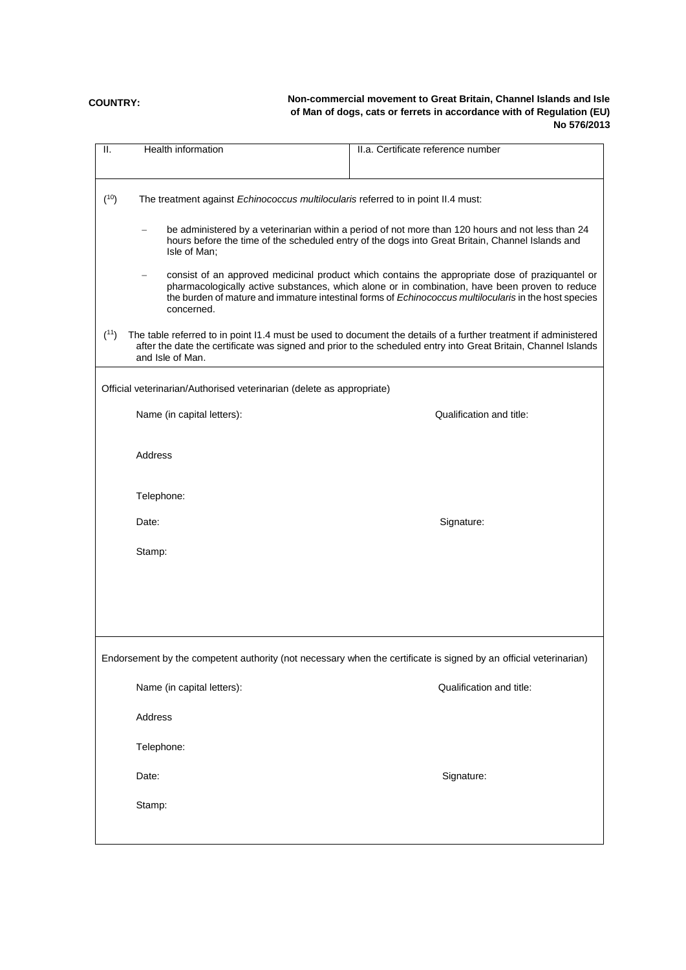# **COUNTRY:**

# **Non-commercial movement to Great Britain, Channel Islands and Isle of Man of dogs, cats or ferrets in accordance with of Regulation (EU) No 576/2013**

| <b>Health information</b><br>Ш. |                                                                                                                                                                                                                                                                                                            | II.a. Certificate reference number                                                                                |  |  |  |  |  |
|---------------------------------|------------------------------------------------------------------------------------------------------------------------------------------------------------------------------------------------------------------------------------------------------------------------------------------------------------|-------------------------------------------------------------------------------------------------------------------|--|--|--|--|--|
|                                 |                                                                                                                                                                                                                                                                                                            |                                                                                                                   |  |  |  |  |  |
| (10)                            | The treatment against Echinococcus multilocularis referred to in point II.4 must:                                                                                                                                                                                                                          |                                                                                                                   |  |  |  |  |  |
| Isle of Man;                    | be administered by a veterinarian within a period of not more than 120 hours and not less than 24<br>hours before the time of the scheduled entry of the dogs into Great Britain, Channel Islands and                                                                                                      |                                                                                                                   |  |  |  |  |  |
| concerned.                      | consist of an approved medicinal product which contains the appropriate dose of praziquantel or<br>pharmacologically active substances, which alone or in combination, have been proven to reduce<br>the burden of mature and immature intestinal forms of Echinococcus multilocularis in the host species |                                                                                                                   |  |  |  |  |  |
| (11)<br>and Isle of Man.        | The table referred to in point I1.4 must be used to document the details of a further treatment if administered<br>after the date the certificate was signed and prior to the scheduled entry into Great Britain, Channel Islands                                                                          |                                                                                                                   |  |  |  |  |  |
|                                 | Official veterinarian/Authorised veterinarian (delete as appropriate)                                                                                                                                                                                                                                      |                                                                                                                   |  |  |  |  |  |
| Name (in capital letters):      |                                                                                                                                                                                                                                                                                                            | Qualification and title:                                                                                          |  |  |  |  |  |
| Address                         |                                                                                                                                                                                                                                                                                                            |                                                                                                                   |  |  |  |  |  |
| Telephone:                      |                                                                                                                                                                                                                                                                                                            |                                                                                                                   |  |  |  |  |  |
| Date:                           |                                                                                                                                                                                                                                                                                                            | Signature:                                                                                                        |  |  |  |  |  |
| Stamp:                          |                                                                                                                                                                                                                                                                                                            |                                                                                                                   |  |  |  |  |  |
|                                 |                                                                                                                                                                                                                                                                                                            |                                                                                                                   |  |  |  |  |  |
|                                 |                                                                                                                                                                                                                                                                                                            |                                                                                                                   |  |  |  |  |  |
|                                 |                                                                                                                                                                                                                                                                                                            |                                                                                                                   |  |  |  |  |  |
|                                 |                                                                                                                                                                                                                                                                                                            | Endorsement by the competent authority (not necessary when the certificate is signed by an official veterinarian) |  |  |  |  |  |
| Name (in capital letters):      |                                                                                                                                                                                                                                                                                                            | Qualification and title:                                                                                          |  |  |  |  |  |
| Address                         |                                                                                                                                                                                                                                                                                                            |                                                                                                                   |  |  |  |  |  |
| Telephone:                      |                                                                                                                                                                                                                                                                                                            |                                                                                                                   |  |  |  |  |  |
| Date:                           |                                                                                                                                                                                                                                                                                                            | Signature:                                                                                                        |  |  |  |  |  |
| Stamp:                          |                                                                                                                                                                                                                                                                                                            |                                                                                                                   |  |  |  |  |  |
|                                 |                                                                                                                                                                                                                                                                                                            |                                                                                                                   |  |  |  |  |  |